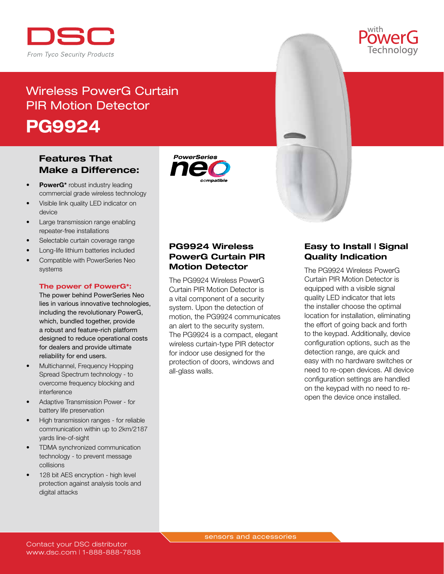

# Wireless PowerG Curtain PIR Motion Detector PG9924

## Features That Make a Difference:

- PowerG\* robust industry leading commercial grade wireless technology
- Visible link quality LED indicator on device
- Large transmission range enabling repeater-free installations
- Selectable curtain coverage range
- Long-life lithium batteries included
- Compatible with PowerSeries Neo systems

#### The power of PowerG\*:

The power behind PowerSeries Neo lies in various innovative technologies, including the revolutionary PowerG, which, bundled together, provide a robust and feature-rich platform designed to reduce operational costs for dealers and provide ultimate reliability for end users.

- Multichannel, Frequency Hopping Spread Spectrum technology - to overcome frequency blocking and interference
- Adaptive Transmission Power for battery life preservation
- High transmission ranges for reliable communication within up to 2km/2187 yards line-of-sight
- **TDMA** synchronized communication technology - to prevent message collisions
- 128 bit AES encryption high level protection against analysis tools and digital attacks





## PG9924 Wireless PowerG Curtain PIR Motion Detector

The PG9924 Wireless PowerG Curtain PIR Motion Detector is a vital component of a security system. Upon the detection of motion, the PG9924 communicates an alert to the security system. The PG9924 is a compact, elegant wireless curtain-type PIR detector for indoor use designed for the protection of doors, windows and all-glass walls.

## Easy to Install | Signal Quality Indication

The PG9924 Wireless PowerG Curtain PIR Motion Detector is equipped with a visible signal quality LED indicator that lets the installer choose the optimal location for installation, eliminating the effort of going back and forth to the keypad. Additionally, device configuration options, such as the detection range, are quick and easy with no hardware switches or need to re-open devices. All device configuration settings are handled on the keypad with no need to reopen the device once installed.